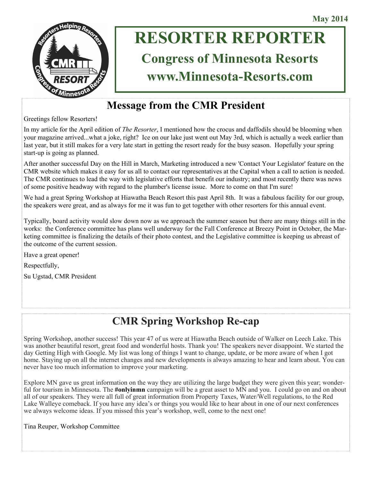

# **RESORTER REPORTER Congress of Minnesota Resorts**

# **www.Minnesota-Resorts.com**

# **Message from the CMR President**

Greetings fellow Resorters!

In my article for the April edition of *The Resorter*, I mentioned how the crocus and daffodils should be blooming when your magazine arrived...what a joke, right? Ice on our lake just went out May 3rd, which is actually a week earlier than last year, but it still makes for a very late start in getting the resort ready for the busy season. Hopefully your spring start-up is going as planned.

After another successful Day on the Hill in March, Marketing introduced a new 'Contact Your Legislator' feature on the CMR website which makes it easy for us all to contact our representatives at the Capital when a call to action is needed. The CMR continues to lead the way with legislative efforts that benefit our industry; and most recently there was news of some positive headway with regard to the plumber's license issue. More to come on that I'm sure!

We had a great Spring Workshop at Hiawatha Beach Resort this past April 8th. It was a fabulous facility for our group, the speakers were great, and as always for me it was fun to get together with other resorters for this annual event.

Typically, board activity would slow down now as we approach the summer season but there are many things still in the works: the Conference committee has plans well underway for the Fall Conference at Breezy Point in October, the Marketing committee is finalizing the details of their photo contest, and the Legislative committee is keeping us abreast of the outcome of the current session.

Have a great opener! Respectfully, Su Ugstad, CMR President

# **CMR Spring Workshop Re-cap**

Spring Workshop, another success! This year 47 of us were at Hiawatha Beach outside of Walker on Leech Lake. This was another beautiful resort, great food and wonderful hosts. Thank you! The speakers never disappoint. We started the day Getting High with Google. My list was long of things I want to change, update, or be more aware of when I got home. Staying up on all the internet changes and new developments is always amazing to hear and learn about. You can never have too much information to improve your marketing.

Explore MN gave us great information on the way they are utilizing the large budget they were given this year; wonderful for tourism in Minnesota. The **#onlyinmn** campaign will be a great asset to MN and you. I could go on and on about all of our speakers. They were all full of great information from Property Taxes, Water/Well regulations, to the Red Lake Walleye comeback. If you have any idea's or things you would like to hear about in one of our next conferences we always welcome ideas. If you missed this year's workshop, well, come to the next one!

Tina Reuper, Workshop Committee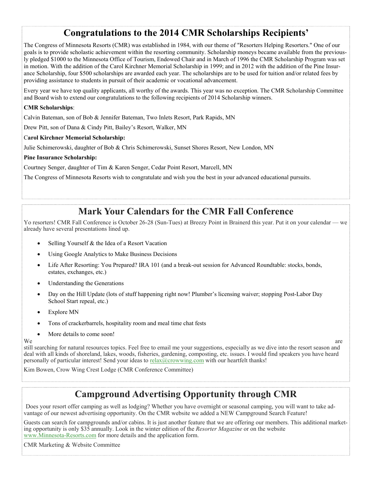# **Congratulations to the 2014 CMR Scholarships Recipients'**

The Congress of Minnesota Resorts (CMR) was established in 1984, with our theme of "Resorters Helping Resorters." One of our goals is to provide scholastic achievement within the resorting community. Scholarship moneys became available from the previously pledged \$1000 to the Minnesota Office of Tourism, Endowed Chair and in March of 1996 the CMR Scholarship Program was set in motion. With the addition of the Carol Kirchner Memorial Scholarship in 1999; and in 2012 with the addition of the Pine Insurance Scholarship, four \$500 scholarships are awarded each year. The scholarships are to be used for tuition and/or related fees by providing assistance to students in pursuit of their academic or vocational advancement.

Every year we have top quality applicants, all worthy of the awards. This year was no exception. The CMR Scholarship Committee and Board wish to extend our congratulations to the following recipients of 2014 Scholarship winners.

#### **CMR Scholarships**:

Calvin Bateman, son of Bob & Jennifer Bateman, Two Inlets Resort, Park Rapids, MN

Drew Pitt, son of Dana & Cindy Pitt, Bailey's Resort, Walker, MN

#### C**arol Kirchner Memorial Scholarship:**

Julie Schimerowski, daughter of Bob & Chris Schimerowski, Sunset Shores Resort, New London, MN

#### **Pine Insurance Scholarship:**

Courtney Senger, daughter of Tim & Karen Senger, Cedar Point Resort, Marcell, MN

The Congress of Minnesota Resorts wish to congratulate and wish you the best in your advanced educational pursuits.

### **Mark Your Calendars for the CMR Fall Conference**

Yo resorters! CMR Fall Conference is October 26-28 (Sun-Tues) at Breezy Point in Brainerd this year. Put it on your calendar — we already have several presentations lined up.

- Selling Yourself & the Idea of a Resort Vacation
- Using Google Analytics to Make Business Decisions
- Life After Resorting: You Prepared? IRA 101 (and a break-out session for Advanced Roundtable: stocks, bonds, estates, exchanges, etc.)
- Understanding the Generations
- Day on the Hill Update (lots of stuff happening right now! Plumber's licensing waiver; stopping Post-Labor Day School Start repeal, etc.)
- Explore MN
- Tons of crackerbarrels, hospitality room and meal time chat fests
- More details to come soon!

We are the contract of the contract of the contract of the contract of the contract of the contract of the contract of the contract of the contract of the contract of the contract of the contract of the contract of the con still searching for natural resources topics. Feel free to email me your suggestions, especially as we dive into the resort season and deal with all kinds of shoreland, lakes, woods, fisheries, gardening, composting, etc. issues. I would find speakers you have heard personally of particular interest! Send your ideas to [relax@crowwing.com](mailto:relax@crowwing.com) with our heartfelt thanks!

Kim Bowen, Crow Wing Crest Lodge (CMR Conference Committee)

# **Campground Advertising Opportunity through CMR**

Does your resort offer camping as well as lodging? Whether you have overnight or seasonal camping, you will want to take advantage of our newest advertising opportunity. On the CMR website we added a NEW Campground Search Feature!

Guests can search for campgrounds and/or cabins. It is just another feature that we are offering our members. This additional marketing opportunity is only \$35 annually. Look in the winter edition of the *Resorter Magazine* or on the website [www.Minnesota-Resorts.com](mailto:www.Minnesota-Resorts.com) for more details and the application form.

CMR Marketing & Website Committee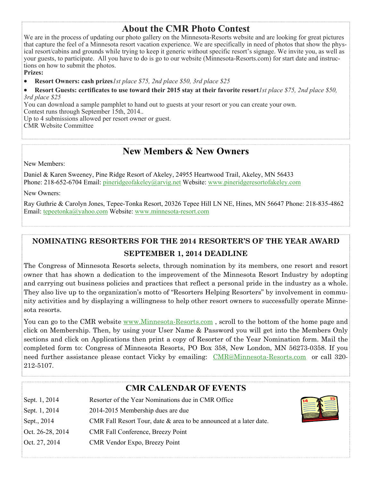### **About the CMR Photo Contest**

We are in the process of updating our photo gallery on the Minnesota-Resorts website and are looking for great pictures that capture the feel of a Minnesota resort vacation experience. We are specifically in need of photos that show the physical resort/cabins and grounds while trying to keep it generic without specific resort's signage. We invite you, as well as your guests, to participate. All you have to do is go to our website (Minnesota-Resorts.com) for start date and instructions on how to submit the photos.

**Prizes:**

**Resort Owners: cash prizes***1st place \$75, 2nd place \$50, 3rd place \$25*

 **Resort Guests: certificates to use toward their 2015 stay at their favorite resort***1st place \$75, 2nd place \$50, 3rd place \$25*

You can download a sample pamphlet to hand out to guests at your resort or you can create your own.

Contest runs through September 15th, 2014..

Up to 4 submissions allowed per resort owner or guest. CMR Website Committee

# **New Members & New Owners**

New Members:

Daniel & Karen Sweeney, Pine Ridge Resort of Akeley, 24955 Heartwood Trail, Akeley, MN 56433 Phone: 218-652-6704 Email: [pineridgeofakeley@arvig.net](mailto:pineridgeofakeley@arvig.net) Website: [www.pineridgeresortofakeley.com](mailto:www.pineridgeresortofakeley.com)

New Owners:

Ray Guthrie & Carolyn Jones, Tepee-Tonka Resort, 20326 Tepee Hill LN NE, Hines, MN 56647 Phone: 218-835-4862 Email: [tepeetonka@yahoo.com](mailto:tepeetonka@yahoo.com) Website: [www.minnesota-resort.com](mailto:www.minnesota-resort.com)

### **NOMINATING RESORTERS FOR THE 2014 RESORTER'S OF THE YEAR AWARD SEPTEMBER 1, 2014 DEADLINE**

The Congress of Minnesota Resorts selects, through nomination by its members, one resort and resort owner that has shown a dedication to the improvement of the Minnesota Resort Industry by adopting and carrying out business policies and practices that reflect a personal pride in the industry as a whole. They also live up to the organization's motto of "Resorters Helping Resorters" by involvement in community activities and by displaying a willingness to help other resort owners to successfully operate Minnesota resorts.

You can go to the CMR website www.Minnesota-Resorts.com, scroll to the bottom of the home page and click on Membership. Then, by using your User Name & Password you will get into the Members Only sections and click on Applications then print a copy of Resorter of the Year Nomination form. Mail the completed form to: Congress of Minnesota Resorts, PO Box 358, New London, MN 56273-0358. If you need further assistance please contact Vicky by emailing: [CMR@Minnesota-Resorts.com](mailto:CMR@Minnesota-Resorts.com) or call 320- 212-5107.

| <b>CMR CALENDAR OF EVENTS</b> |                                                                    |  |
|-------------------------------|--------------------------------------------------------------------|--|
| Sept. 1, 2014                 | Resorter of the Year Nominations due in CMR Office                 |  |
| Sept. 1, 2014                 | 2014-2015 Membership dues are due                                  |  |
| Sept., 2014                   | CMR Fall Resort Tour, date & area to be announced at a later date. |  |
| Oct. 26-28, 2014              | CMR Fall Conference, Breezy Point                                  |  |
| Oct. 27, 2014                 | CMR Vendor Expo, Breezy Point                                      |  |